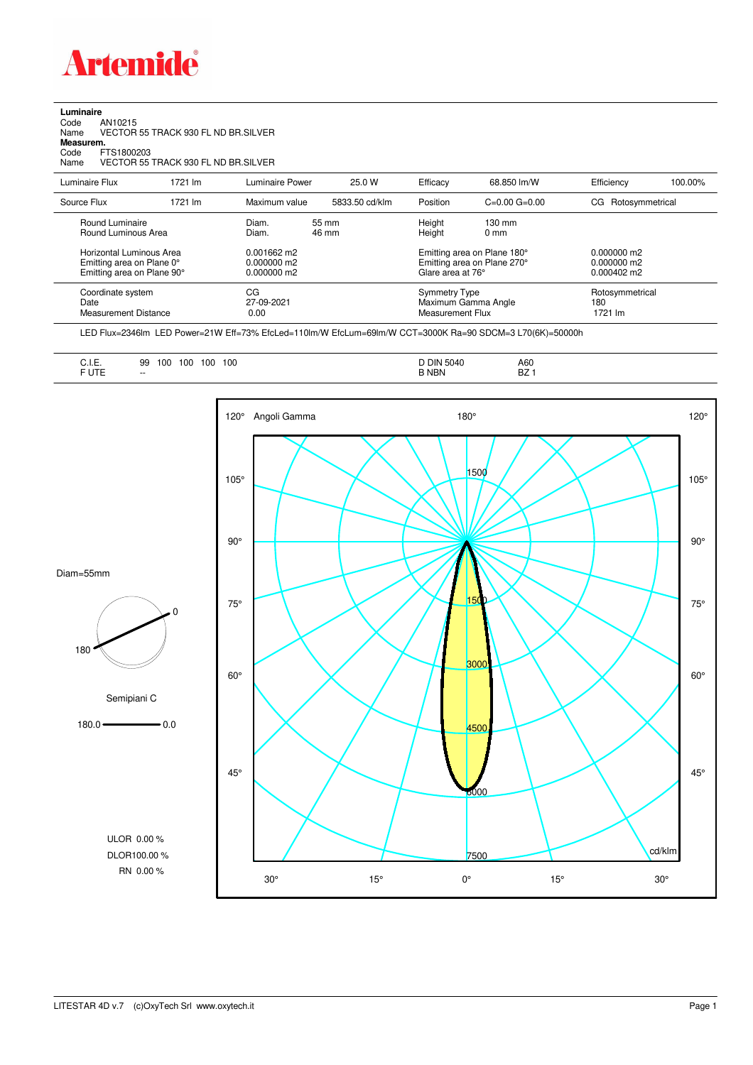

**Luminaire**<br>Code /<br>Name \ Code AN10215 Name VECTOR 55 TRACK 930 FL ND BR.SILVER **Measurem.** Code FTS1800203

Name VECTOR 55 TRACK 930 FL ND BR.SILVER

| Luminaire Flux                                                                                                                | 1721 lm | Luminaire Power                                                   | 25.0 W         | Efficacy                                 | 68.850 lm/W                                                                                      | Efficiency                                      | 100.00% |
|-------------------------------------------------------------------------------------------------------------------------------|---------|-------------------------------------------------------------------|----------------|------------------------------------------|--------------------------------------------------------------------------------------------------|-------------------------------------------------|---------|
| Source Flux                                                                                                                   | 1721 lm | Maximum value                                                     | 5833.50 cd/klm | Position                                 | $C=0.00$ $G=0.00$                                                                                | CG Rotosymmetrical                              |         |
| Round Luminaire<br>Round Luminous Area<br>Horizontal Luminous Area<br>Emitting area on Plane 0°<br>Emitting area on Plane 90° |         | Diam.<br>Diam.<br>$0.001662$ m2<br>$0.000000$ m2<br>$0.000000$ m2 | 55 mm<br>46 mm | Height<br>Height<br>Glare area at 76°    | $130 \text{ mm}$<br>$0 \text{ mm}$<br>Emitting area on Plane 180°<br>Emitting area on Plane 270° | $0.000000$ m2<br>$0.000000$ m2<br>$0.000402$ m2 |         |
| Coordinate system<br>Date<br><b>Measurement Distance</b>                                                                      |         | CG<br>27-09-2021<br>0.00                                          |                | <b>Symmetry Type</b><br>Measurement Flux | Maximum Gamma Angle                                                                              | Rotosymmetrical<br>180<br>1721 lm               |         |

LED Flux=2346lm LED Power=21W Eff=73% EfcLed=110lm/W EfcLum=69lm/W CCT=3000K Ra=90 SDCM=3 L70(6K)=50000h